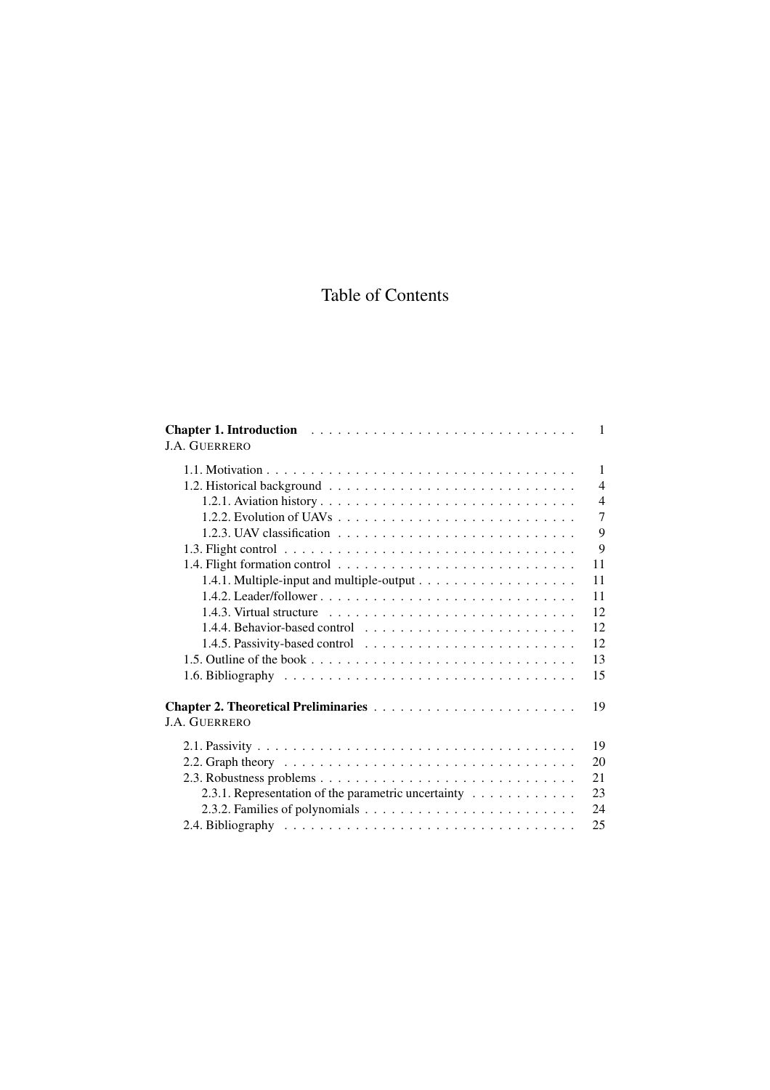## Table of Contents

| <b>J.A. GUERRERO</b>                                                            | $\mathbf{1}$   |
|---------------------------------------------------------------------------------|----------------|
|                                                                                 | 1              |
|                                                                                 | $\overline{4}$ |
|                                                                                 | $\overline{4}$ |
|                                                                                 | $\overline{7}$ |
|                                                                                 | 9              |
|                                                                                 | 9              |
|                                                                                 | 11             |
|                                                                                 | 11             |
|                                                                                 | 11             |
|                                                                                 | 12             |
| 1.4.4. Behavior-based control $\dots \dots \dots \dots \dots \dots \dots \dots$ | 12             |
|                                                                                 | 12             |
|                                                                                 | 13             |
|                                                                                 | 15             |
| <b>J.A. GUERRERO</b>                                                            | 19             |
|                                                                                 | 19             |
|                                                                                 | 20             |
|                                                                                 | 21             |
| 2.3.1. Representation of the parametric uncertainty                             | 23             |
|                                                                                 | 24             |
|                                                                                 | 25             |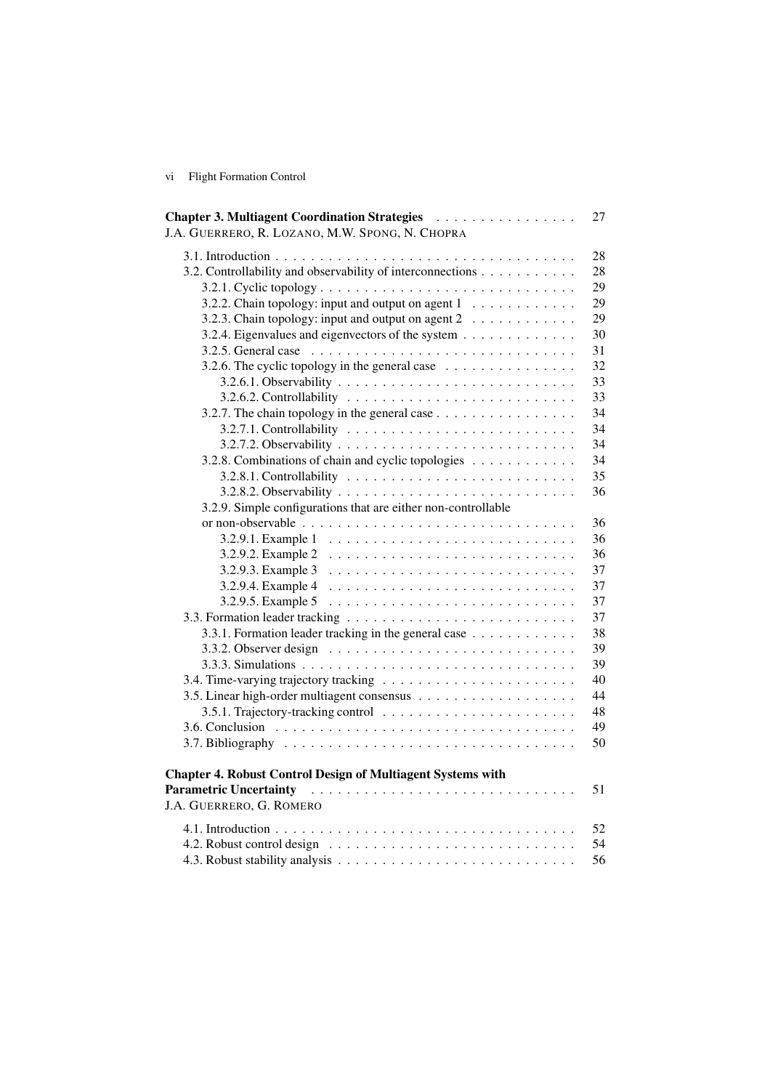vi Flight Formation Control

| Chapter 3. Multiagent Coordination Strategies<br>J.A. GUERRERO, R. LOZANO, M.W. SPONG, N. CHOPRA                                | 27 |
|---------------------------------------------------------------------------------------------------------------------------------|----|
|                                                                                                                                 | 28 |
| 3.2. Controllability and observability of interconnections                                                                      | 28 |
|                                                                                                                                 | 29 |
| 3.2.2. Chain topology: input and output on agent $1, \ldots, \ldots, \ldots$                                                    | 29 |
| 3.2.3. Chain topology: input and output on agent 2                                                                              | 29 |
| 3.2.4. Eigenvalues and eigenvectors of the system                                                                               | 30 |
|                                                                                                                                 | 31 |
| 3.2.6. The cyclic topology in the general case $\dots \dots \dots \dots \dots$                                                  | 32 |
|                                                                                                                                 | 33 |
|                                                                                                                                 | 33 |
| 3.2.7. The chain topology in the general case                                                                                   | 34 |
|                                                                                                                                 | 34 |
|                                                                                                                                 | 34 |
| 3.2.8. Combinations of chain and cyclic topologies                                                                              | 34 |
|                                                                                                                                 | 35 |
|                                                                                                                                 | 36 |
| 3.2.9. Simple configurations that are either non-controllable                                                                   |    |
|                                                                                                                                 | 36 |
|                                                                                                                                 | 36 |
| 3.2.9.2. Example 2                                                                                                              | 36 |
| 3.2.9.3. Example 3                                                                                                              | 37 |
| 3.2.9.4. Example 4                                                                                                              | 37 |
|                                                                                                                                 | 37 |
|                                                                                                                                 | 37 |
| 3.3.1. Formation leader tracking in the general case                                                                            | 38 |
|                                                                                                                                 | 39 |
|                                                                                                                                 | 39 |
|                                                                                                                                 | 40 |
|                                                                                                                                 | 44 |
|                                                                                                                                 | 48 |
|                                                                                                                                 | 49 |
|                                                                                                                                 | 50 |
| <b>Chapter 4. Robust Control Design of Multiagent Systems with</b><br><b>Parametric Uncertainty</b><br>J.A. GUERRERO, G. ROMERO | 51 |
|                                                                                                                                 | 52 |
|                                                                                                                                 | 54 |
|                                                                                                                                 | 56 |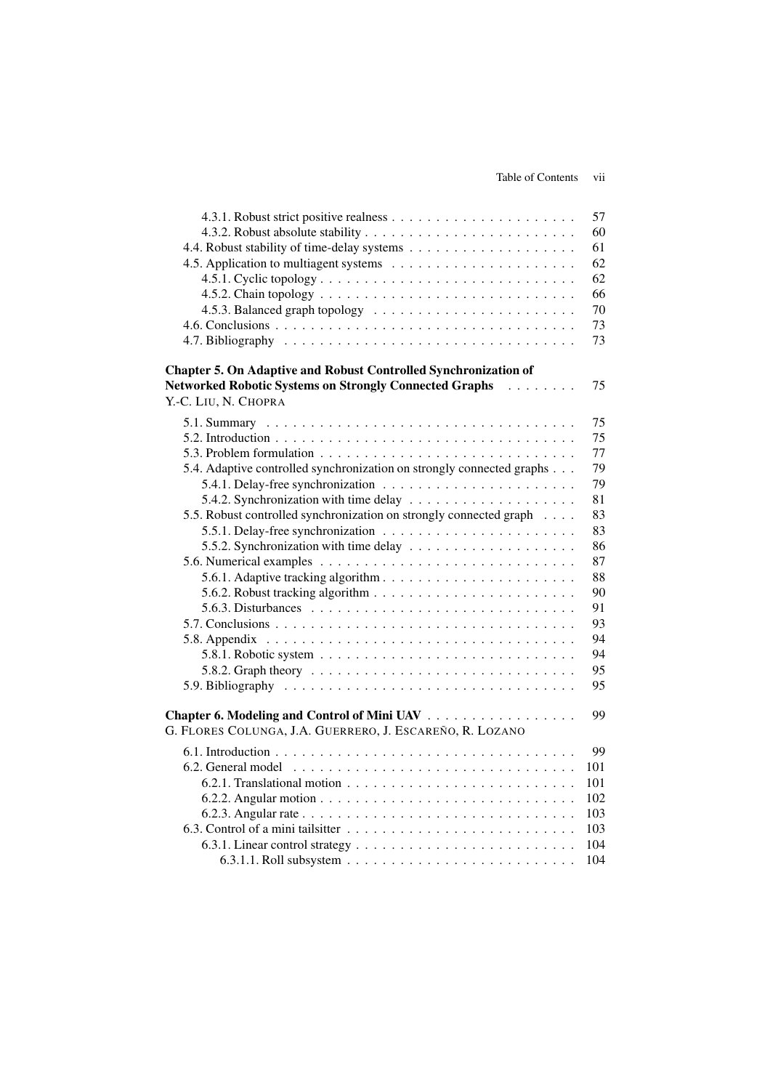|                                                                                                                        | 57  |
|------------------------------------------------------------------------------------------------------------------------|-----|
|                                                                                                                        | 60  |
|                                                                                                                        | 61  |
|                                                                                                                        | 62  |
|                                                                                                                        | 62  |
|                                                                                                                        | 66  |
|                                                                                                                        | 70  |
|                                                                                                                        | 73  |
|                                                                                                                        | 73  |
| Chapter 5. On Adaptive and Robust Controlled Synchronization of                                                        |     |
| <b>Networked Robotic Systems on Strongly Connected Graphs</b><br>$\mathbb{R}^2$ . The set of the set of $\mathbb{R}^2$ | 75  |
| Y.-C. LIU, N. CHOPRA                                                                                                   |     |
|                                                                                                                        | 75  |
|                                                                                                                        | 75  |
|                                                                                                                        | 77  |
| 5.4. Adaptive controlled synchronization on strongly connected graphs                                                  | 79  |
|                                                                                                                        | 79  |
| 5.4.2. Synchronization with time delay $\dots \dots \dots \dots \dots \dots \dots$                                     | 81  |
| 5.5. Robust controlled synchronization on strongly connected graph                                                     | 83  |
|                                                                                                                        | 83  |
|                                                                                                                        | 86  |
|                                                                                                                        | 87  |
|                                                                                                                        | 88  |
|                                                                                                                        | 90  |
|                                                                                                                        | 91  |
|                                                                                                                        | 93  |
|                                                                                                                        | 94  |
| 5.8.1. Robotic system $\ldots \ldots \ldots \ldots \ldots \ldots \ldots \ldots \ldots \ldots$                          | 94  |
|                                                                                                                        | 95  |
|                                                                                                                        | 95  |
|                                                                                                                        |     |
| Chapter 6. Modeling and Control of Mini UAV                                                                            | 99  |
| G. FLORES COLUNGA, J.A. GUERRERO, J. ESCAREÑO, R. LOZANO                                                               |     |
|                                                                                                                        | 99  |
|                                                                                                                        | 101 |
|                                                                                                                        | 101 |
|                                                                                                                        | 102 |
|                                                                                                                        | 103 |
|                                                                                                                        | 103 |
|                                                                                                                        | 104 |
|                                                                                                                        | 104 |
|                                                                                                                        |     |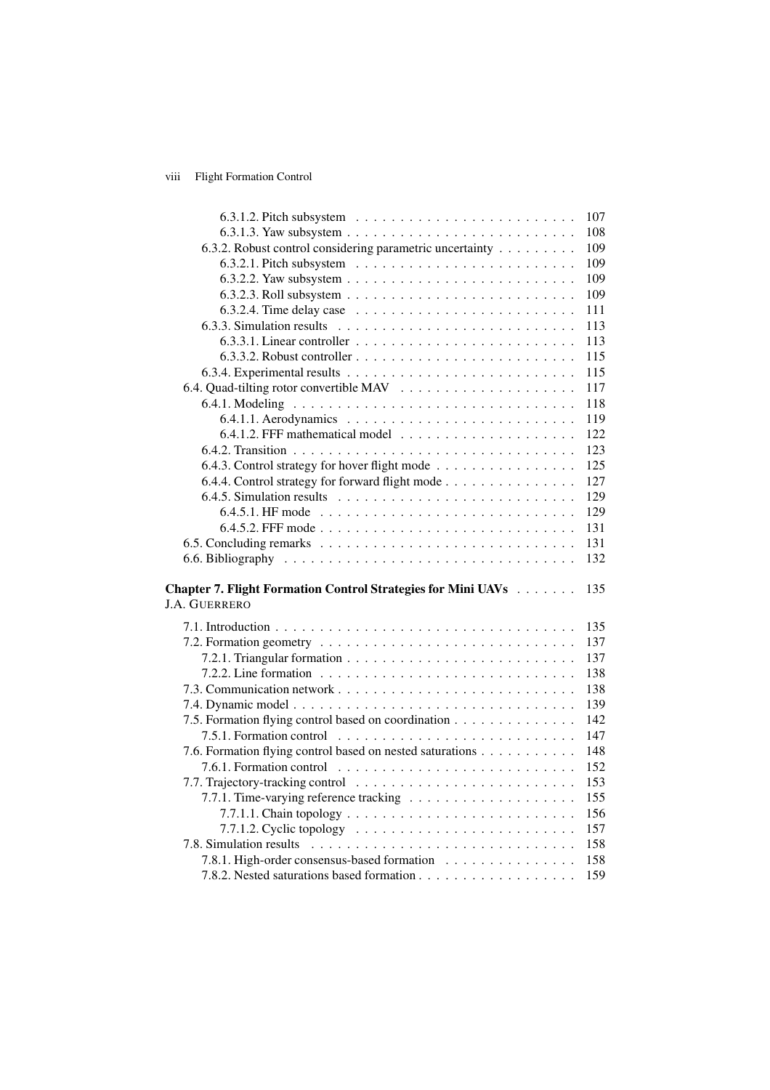## viii Flight Formation Control

|                                                                                         | 107 |
|-----------------------------------------------------------------------------------------|-----|
| 6.3.1.3. Yaw subsystem $\ldots \ldots \ldots \ldots \ldots \ldots \ldots \ldots \ldots$ | 108 |
| 6.3.2. Robust control considering parametric uncertainty                                | 109 |
|                                                                                         | 109 |
|                                                                                         | 109 |
|                                                                                         | 109 |
| 6.3.2.4. Time delay case $\ldots \ldots \ldots \ldots \ldots \ldots \ldots \ldots$      | 111 |
|                                                                                         | 113 |
| $6.3.3.1$ . Linear controller $\ldots \ldots \ldots \ldots \ldots \ldots \ldots \ldots$ | 113 |
|                                                                                         | 115 |
|                                                                                         | 115 |
|                                                                                         | 117 |
|                                                                                         | 118 |
|                                                                                         | 119 |
|                                                                                         | 122 |
|                                                                                         | 123 |
| 6.4.3. Control strategy for hover flight mode                                           | 125 |
| 6.4.4. Control strategy for forward flight mode                                         | 127 |
|                                                                                         | 129 |
|                                                                                         | 129 |
|                                                                                         | 131 |
|                                                                                         | 131 |
|                                                                                         | 132 |
|                                                                                         |     |
| Chapter 7. Flight Formation Control Strategies for Mini UAVs                            | 135 |
| <b>J.A. GUERRERO</b>                                                                    |     |
|                                                                                         | 135 |
|                                                                                         | 137 |
|                                                                                         | 137 |
|                                                                                         | 138 |
|                                                                                         | 138 |
|                                                                                         | 139 |
| 7.5. Formation flying control based on coordination                                     | 142 |
|                                                                                         | 147 |
| 7.6. Formation flying control based on nested saturations                               | 148 |
|                                                                                         | 152 |
|                                                                                         | 153 |
|                                                                                         | 155 |
|                                                                                         | 156 |
|                                                                                         | 157 |
|                                                                                         | 158 |
| 7.8.1. High-order consensus-based formation                                             | 158 |
|                                                                                         | 159 |
|                                                                                         |     |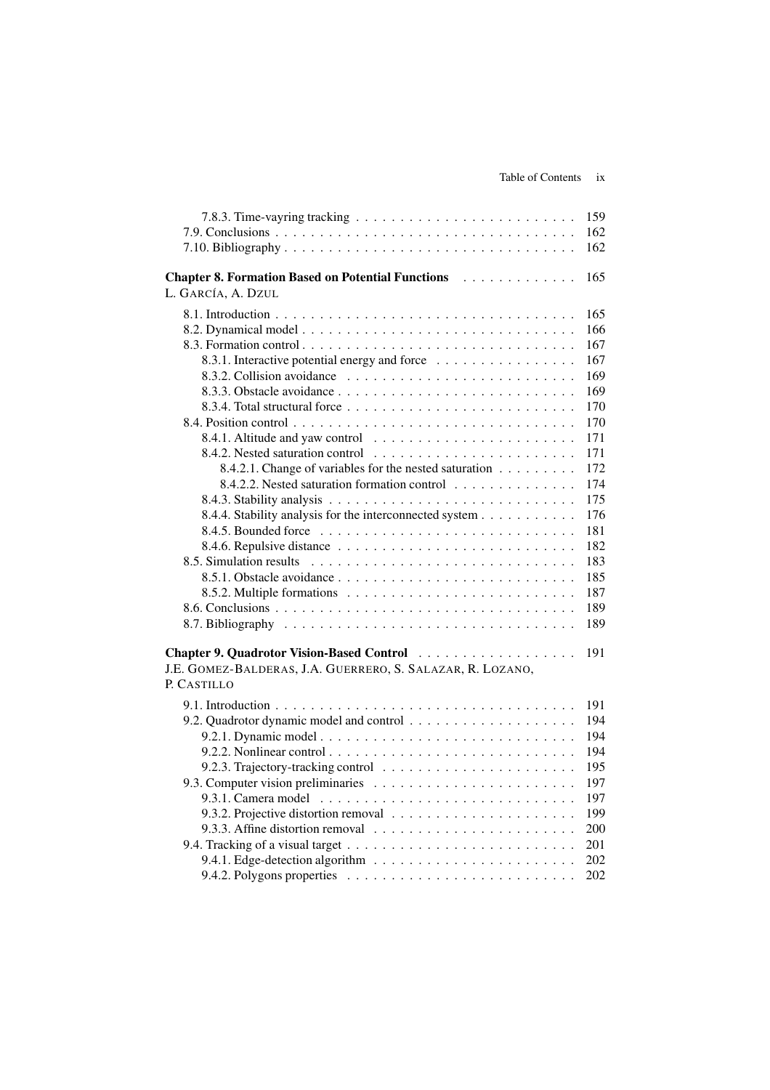| 7.8.3. Time-vayring tracking $\ldots \ldots \ldots \ldots \ldots \ldots \ldots \ldots \ldots$ | 159 |
|-----------------------------------------------------------------------------------------------|-----|
|                                                                                               | 162 |
|                                                                                               | 162 |
| <b>Chapter 8. Formation Based on Potential Functions</b><br>.                                 | 165 |
| L. GARCÍA, A. DZUL                                                                            |     |
|                                                                                               | 165 |
|                                                                                               | 166 |
| 8.3. Formation control                                                                        | 167 |
| 8.3.1. Interactive potential energy and force                                                 | 167 |
|                                                                                               | 169 |
|                                                                                               | 169 |
|                                                                                               | 170 |
|                                                                                               | 170 |
|                                                                                               | 171 |
|                                                                                               | 171 |
| 8.4.2.1. Change of variables for the nested saturation                                        | 172 |
| 8.4.2.2. Nested saturation formation control                                                  | 174 |
|                                                                                               | 175 |
| 8.4.4. Stability analysis for the interconnected system                                       | 176 |
|                                                                                               | 181 |
|                                                                                               | 182 |
| 8.5. Simulation results                                                                       | 183 |
|                                                                                               | 185 |
|                                                                                               | 187 |
|                                                                                               | 189 |
|                                                                                               | 189 |
|                                                                                               |     |
|                                                                                               | 191 |
| J.E. GOMEZ-BALDERAS, J.A. GUERRERO, S. SALAZAR, R. LOZANO,                                    |     |
| P. CASTILLO                                                                                   |     |
|                                                                                               | 191 |
|                                                                                               | 194 |
|                                                                                               | 194 |
|                                                                                               | 194 |
|                                                                                               | 195 |
|                                                                                               | 197 |
|                                                                                               | 197 |
|                                                                                               | 199 |
|                                                                                               | 200 |
|                                                                                               | 201 |
|                                                                                               | 202 |
|                                                                                               | 202 |
|                                                                                               |     |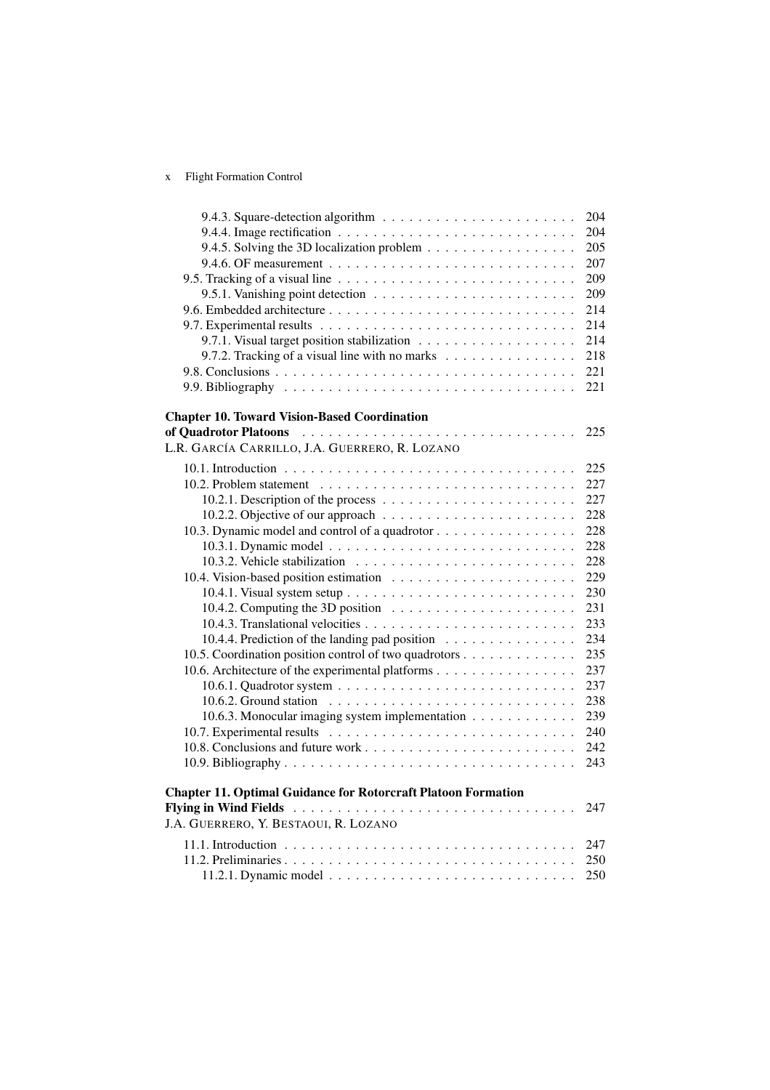## x Flight Formation Control

| 204<br>205 |
|------------|
|            |
|            |
| 207        |
| 209        |
| 209        |
| 214        |
| 214        |
| 214        |
| 218        |
| 221        |
| 221        |
|            |
| 225        |
|            |
|            |
| 225        |
| 227        |
| 227        |
| 228        |
| 228        |
| 228        |
| 228        |
| 229        |
| 230        |
| 231        |
| 233        |
| 234        |
| 235        |
| 237        |
| 237        |
| 238        |
| 239        |
| 240        |
| 242        |
| 243        |
|            |
| 247        |
|            |
|            |
|            |
| 250        |
|            |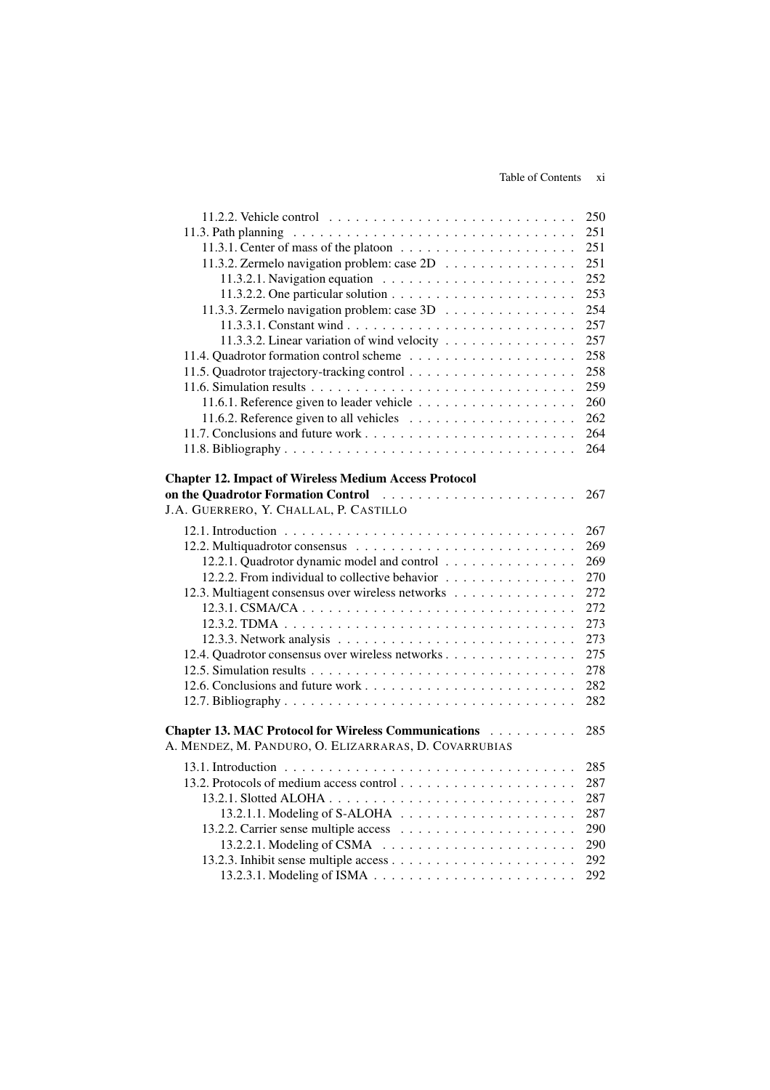|                                                                                                                                                                                                                                                                                                | 250 |
|------------------------------------------------------------------------------------------------------------------------------------------------------------------------------------------------------------------------------------------------------------------------------------------------|-----|
|                                                                                                                                                                                                                                                                                                | 251 |
|                                                                                                                                                                                                                                                                                                | 251 |
| 11.3.2. Zermelo navigation problem: case 2D                                                                                                                                                                                                                                                    | 251 |
| 11.3.2.1. Navigation equation $\ldots \ldots \ldots \ldots \ldots \ldots \ldots$                                                                                                                                                                                                               | 252 |
|                                                                                                                                                                                                                                                                                                | 253 |
| 11.3.3. Zermelo navigation problem: case 3D                                                                                                                                                                                                                                                    | 254 |
|                                                                                                                                                                                                                                                                                                | 257 |
| 11.3.3.2. Linear variation of wind velocity                                                                                                                                                                                                                                                    | 257 |
|                                                                                                                                                                                                                                                                                                | 258 |
|                                                                                                                                                                                                                                                                                                | 258 |
|                                                                                                                                                                                                                                                                                                | 259 |
|                                                                                                                                                                                                                                                                                                | 260 |
|                                                                                                                                                                                                                                                                                                | 262 |
|                                                                                                                                                                                                                                                                                                | 264 |
|                                                                                                                                                                                                                                                                                                | 264 |
|                                                                                                                                                                                                                                                                                                |     |
| <b>Chapter 12. Impact of Wireless Medium Access Protocol</b><br>on the Quadrotor Formation Control (and all control of the Quadrotor Formation Control of the control of the Quadrotor Formation Control of the Control of the Quadrotor Formation of the Quadrotor Section 4.1 and 2.1 and 2. | 267 |
| J.A. GUERRERO, Y. CHALLAL, P. CASTILLO                                                                                                                                                                                                                                                         |     |
|                                                                                                                                                                                                                                                                                                |     |
|                                                                                                                                                                                                                                                                                                | 267 |
|                                                                                                                                                                                                                                                                                                | 269 |
| 12.2.1. Quadrotor dynamic model and control                                                                                                                                                                                                                                                    | 269 |
| 12.2.2. From individual to collective behavior                                                                                                                                                                                                                                                 | 270 |
| 12.3. Multiagent consensus over wireless networks                                                                                                                                                                                                                                              | 272 |
|                                                                                                                                                                                                                                                                                                | 272 |
|                                                                                                                                                                                                                                                                                                | 273 |
|                                                                                                                                                                                                                                                                                                | 273 |
| 12.4. Quadrotor consensus over wireless networks                                                                                                                                                                                                                                               | 275 |
|                                                                                                                                                                                                                                                                                                | 278 |
|                                                                                                                                                                                                                                                                                                | 282 |
|                                                                                                                                                                                                                                                                                                | 282 |
| Chapter 13. MAC Protocol for Wireless Communications                                                                                                                                                                                                                                           | 285 |
| A. MENDEZ, M. PANDURO, O. ELIZARRARAS, D. COVARRUBIAS                                                                                                                                                                                                                                          |     |
|                                                                                                                                                                                                                                                                                                |     |
|                                                                                                                                                                                                                                                                                                | 285 |
|                                                                                                                                                                                                                                                                                                | 287 |
|                                                                                                                                                                                                                                                                                                | 287 |
|                                                                                                                                                                                                                                                                                                | 287 |
|                                                                                                                                                                                                                                                                                                | 290 |
| $13.2.2.1.$ Modeling of CSMA $\ldots \ldots \ldots \ldots \ldots \ldots \ldots$                                                                                                                                                                                                                | 290 |
|                                                                                                                                                                                                                                                                                                | 292 |
|                                                                                                                                                                                                                                                                                                | 292 |